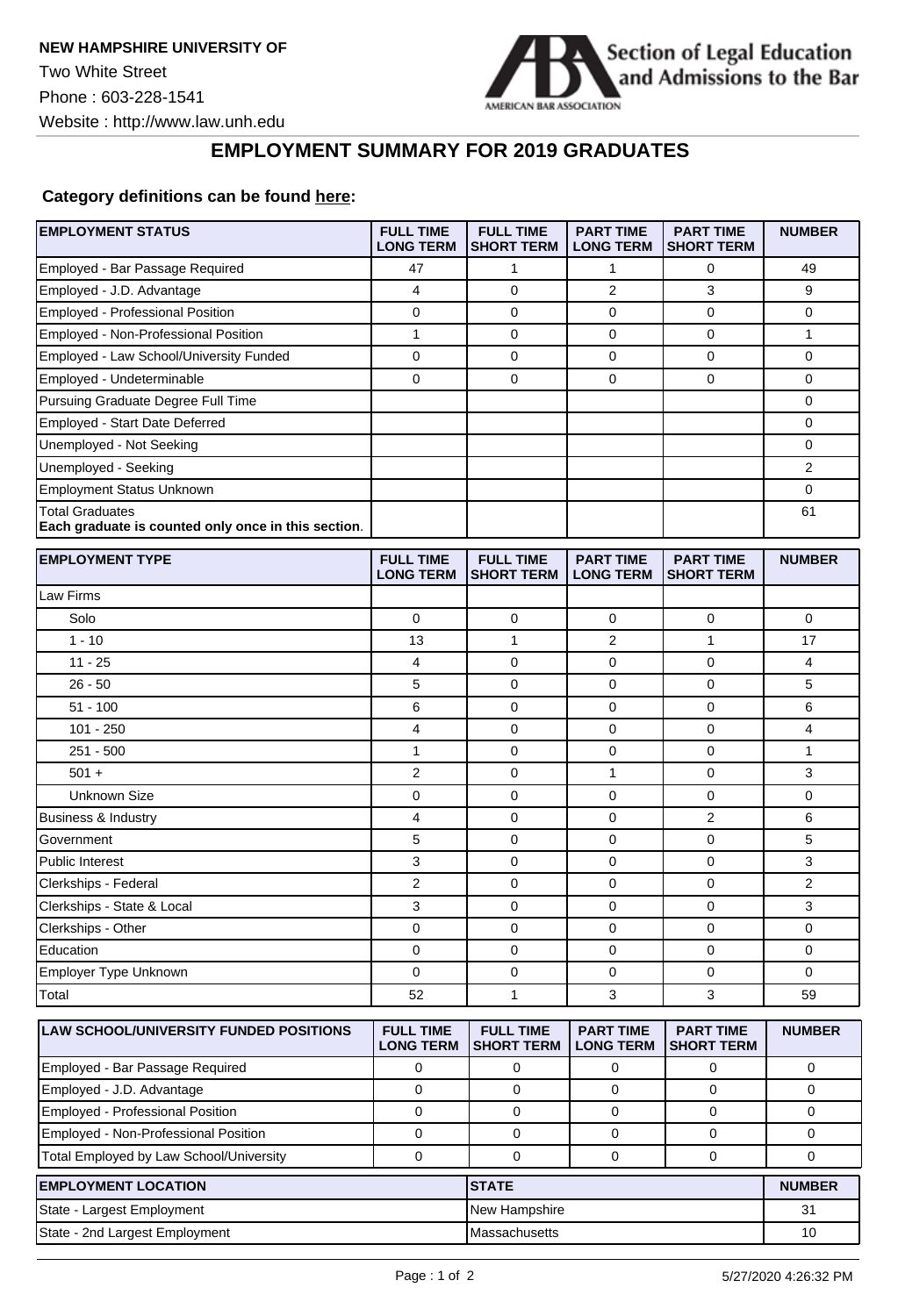

## **EMPLOYMENT SUMMARY FOR 2019 GRADUATES**

## **Category definitions can be found [here:](https://www.americanbar.org/content/dam/aba/administrative/legal_education_and_admissions_to_the_bar/Questionnaires/2020employmentquestionnaire/2020-aba-employment-protocols-class-of-2019.pdf)**

| <b>EMPLOYMENT STATUS</b>                                                      | <b>FULL TIME</b><br><b>LONG TERM</b> | <b>FULL TIME</b><br><b>SHORT TERM</b> | <b>PART TIME</b><br><b>LONG TERM</b> | <b>PART TIME</b><br><b>SHORT TERM</b> | <b>NUMBER</b>  |
|-------------------------------------------------------------------------------|--------------------------------------|---------------------------------------|--------------------------------------|---------------------------------------|----------------|
| Employed - Bar Passage Required                                               | 47                                   | 1                                     | 1                                    | 0                                     | 49             |
| Employed - J.D. Advantage                                                     | 4                                    | $\mathbf 0$                           | $\overline{2}$                       | 3                                     | 9              |
| Employed - Professional Position                                              | 0                                    | 0                                     | 0                                    | 0                                     | 0              |
| Employed - Non-Professional Position                                          | $\mathbf{1}$                         | $\mathbf 0$                           | 0                                    | $\mathbf 0$                           | $\mathbf{1}$   |
| Employed - Law School/University Funded                                       | 0                                    | 0                                     | 0                                    | 0                                     | 0              |
| Employed - Undeterminable                                                     | 0                                    | $\mathbf 0$                           | 0                                    | 0                                     | 0              |
| Pursuing Graduate Degree Full Time                                            |                                      |                                       |                                      |                                       | 0              |
| Employed - Start Date Deferred                                                |                                      |                                       |                                      |                                       | 0              |
| Unemployed - Not Seeking                                                      |                                      |                                       |                                      |                                       | 0              |
| Unemployed - Seeking                                                          |                                      |                                       |                                      |                                       | $\overline{2}$ |
| <b>Employment Status Unknown</b>                                              |                                      |                                       |                                      |                                       | 0              |
| <b>Total Graduates</b><br>Each graduate is counted only once in this section. |                                      |                                       |                                      |                                       | 61             |
| <b>EMPLOYMENT TYPE</b>                                                        | <b>FULL TIME</b><br><b>LONG TERM</b> | <b>FULL TIME</b><br><b>SHORT TERM</b> | <b>PART TIME</b><br><b>LONG TERM</b> | <b>PART TIME</b><br><b>SHORT TERM</b> | <b>NUMBER</b>  |
| Law Firms                                                                     |                                      |                                       |                                      |                                       |                |
| Solo                                                                          | 0                                    | $\mathbf 0$                           | 0                                    | $\mathbf 0$                           | 0              |
| $1 - 10$                                                                      | 13                                   | $\mathbf{1}$                          | 2                                    | $\mathbf{1}$                          | 17             |
| $11 - 25$                                                                     | 4                                    | 0                                     | 0                                    | 0                                     | 4              |
| $26 - 50$                                                                     | 5                                    | $\mathbf 0$                           | 0                                    | $\mathbf 0$                           | 5              |
| $51 - 100$                                                                    | 6                                    | $\mathbf 0$                           | 0                                    | 0                                     | 6              |
| $101 - 250$                                                                   | 4                                    | 0                                     | 0                                    | $\mathbf 0$                           | 4              |
| $251 - 500$                                                                   | 1                                    | 0                                     | 0                                    | $\mathbf 0$                           | 1              |
| $501 +$                                                                       | 2                                    | $\mathbf 0$                           | $\mathbf{1}$                         | 0                                     | 3              |
| <b>Unknown Size</b>                                                           | 0                                    | $\mathbf 0$                           | 0                                    | $\mathbf 0$                           | 0              |
| Business & Industry                                                           | 4                                    | $\mathbf 0$                           | 0                                    | 2                                     | 6              |
| Government                                                                    | 5                                    | $\mathbf 0$                           | 0                                    | 0                                     | 5              |
| Public Interest                                                               | 3                                    | 0                                     | 0                                    | 0                                     | 3              |
| Clerkships - Federal                                                          | 2                                    | $\mathbf 0$                           | 0                                    | $\mathbf 0$                           | 2              |
| Clerkships - State & Local                                                    | 3                                    | $\mathbf 0$                           | 0                                    | 0                                     | 3              |
| Clerkships - Other                                                            | 0                                    | 0                                     | 0                                    | $\mathbf 0$                           | 0              |
| Education                                                                     | 0                                    | $\mathbf 0$                           | 0                                    | 0                                     | 0              |
| Employer Type Unknown                                                         | 0                                    | 0                                     | 0                                    | 0                                     | 0              |
| Total                                                                         | 52                                   | 1                                     | 3                                    | 3                                     | 59             |
| <b>LAW SCHOOL/UNIVERSITY FUNDED POSITIONS</b>                                 | <b>FULL TIME</b><br><b>LONG TERM</b> | <b>FULL TIME</b><br><b>SHORT TERM</b> | <b>PART TIME</b><br><b>LONG TERM</b> | <b>PART TIME</b><br><b>SHORT TERM</b> | <b>NUMBER</b>  |
| Employed - Bar Passage Required                                               | 0                                    | 0                                     | 0                                    | 0                                     | 0              |
| Employed - J.D. Advantage                                                     | 0                                    | 0                                     | 0                                    | 0                                     | 0              |
| Employed - Professional Position                                              | 0                                    | $\mathbf 0$                           | 0                                    | 0                                     | 0              |
| Employed - Non-Professional Position                                          | 0                                    | $\mathbf 0$                           | 0                                    | 0                                     | 0              |
| Total Employed by Law School/University                                       | 0                                    | 0                                     | 0                                    | 0                                     | 0              |
| <b>EMPLOYMENT LOCATION</b>                                                    |                                      | <b>STATE</b>                          |                                      |                                       | <b>NUMBER</b>  |
| State - Largest Employment                                                    |                                      | New Hampshire                         |                                      |                                       | 31             |
| State - 2nd Largest Employment                                                |                                      | Massachusetts                         |                                      |                                       | 10             |